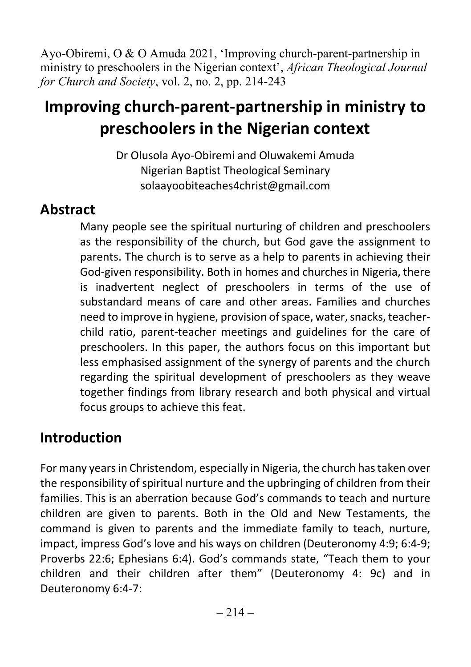Ayo-Obiremi, O & O Amuda 2021, 'Improving church-parent-partnership in ministry to preschoolers in the Nigerian context', African Theological Journal for Church and Society, vol. 2, no. 2, pp. 214-243

# Improving church-parent-partnership in ministry to preschoolers in the Nigerian context

Dr Olusola Ayo-Obiremi and Oluwakemi Amuda Nigerian Baptist Theological Seminary solaayoobiteaches4christ@gmail.com

## Abstract

Many people see the spiritual nurturing of children and preschoolers as the responsibility of the church, but God gave the assignment to parents. The church is to serve as a help to parents in achieving their God-given responsibility. Both in homes and churches in Nigeria, there is inadvertent neglect of preschoolers in terms of the use of substandard means of care and other areas. Families and churches need to improve in hygiene, provision of space, water, snacks, teacherchild ratio, parent-teacher meetings and guidelines for the care of preschoolers. In this paper, the authors focus on this important but less emphasised assignment of the synergy of parents and the church regarding the spiritual development of preschoolers as they weave together findings from library research and both physical and virtual focus groups to achieve this feat.

## Introduction

For many years in Christendom, especially in Nigeria, the church has taken over the responsibility of spiritual nurture and the upbringing of children from their families. This is an aberration because God's commands to teach and nurture children are given to parents. Both in the Old and New Testaments, the command is given to parents and the immediate family to teach, nurture, impact, impress God's love and his ways on children (Deuteronomy 4:9; 6:4-9; Proverbs 22:6; Ephesians 6:4). God's commands state, "Teach them to your children and their children after them" (Deuteronomy 4: 9c) and in Deuteronomy 6:4-7: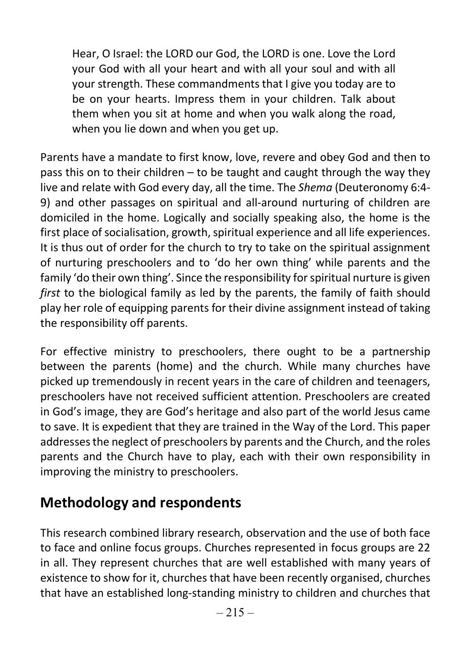Hear, O Israel: the LORD our God, the LORD is one. Love the Lord your God with all your heart and with all your soul and with all your strength. These commandments that I give you today are to be on your hearts. Impress them in your children. Talk about them when you sit at home and when you walk along the road, when you lie down and when you get up.

Parents have a mandate to first know, love, revere and obey God and then to pass this on to their children – to be taught and caught through the way they live and relate with God every day, all the time. The Shema (Deuteronomy 6:4- 9) and other passages on spiritual and all-around nurturing of children are domiciled in the home. Logically and socially speaking also, the home is the first place of socialisation, growth, spiritual experience and all life experiences. It is thus out of order for the church to try to take on the spiritual assignment of nurturing preschoolers and to 'do her own thing' while parents and the family 'do their own thing'. Since the responsibility for spiritual nurture is given first to the biological family as led by the parents, the family of faith should play her role of equipping parents for their divine assignment instead of taking the responsibility off parents.

For effective ministry to preschoolers, there ought to be a partnership between the parents (home) and the church. While many churches have picked up tremendously in recent years in the care of children and teenagers, preschoolers have not received sufficient attention. Preschoolers are created in God's image, they are God's heritage and also part of the world Jesus came to save. It is expedient that they are trained in the Way of the Lord. This paper addresses the neglect of preschoolers by parents and the Church, and the roles parents and the Church have to play, each with their own responsibility in improving the ministry to preschoolers.

## Methodology and respondents

This research combined library research, observation and the use of both face to face and online focus groups. Churches represented in focus groups are 22 in all. They represent churches that are well established with many years of existence to show for it, churches that have been recently organised, churches that have an established long-standing ministry to children and churches that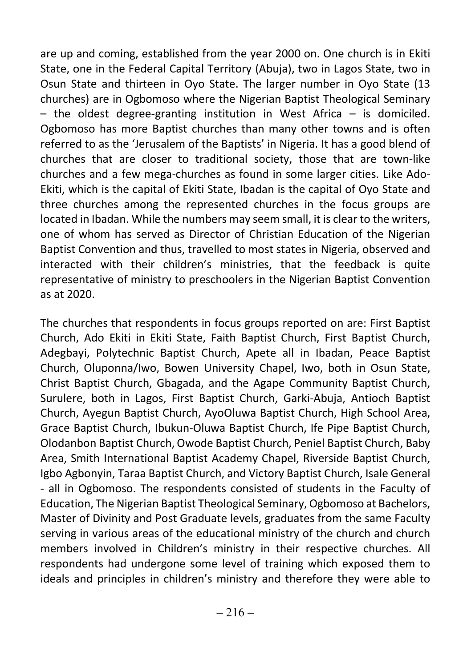are up and coming, established from the year 2000 on. One church is in Ekiti State, one in the Federal Capital Territory (Abuja), two in Lagos State, two in Osun State and thirteen in Oyo State. The larger number in Oyo State (13 churches) are in Ogbomoso where the Nigerian Baptist Theological Seminary  $-$  the oldest degree-granting institution in West Africa  $-$  is domiciled. Ogbomoso has more Baptist churches than many other towns and is often referred to as the 'Jerusalem of the Baptists' in Nigeria. It has a good blend of churches that are closer to traditional society, those that are town-like churches and a few mega-churches as found in some larger cities. Like Ado-Ekiti, which is the capital of Ekiti State, Ibadan is the capital of Oyo State and three churches among the represented churches in the focus groups are located in Ibadan. While the numbers may seem small, it is clear to the writers, one of whom has served as Director of Christian Education of the Nigerian Baptist Convention and thus, travelled to most states in Nigeria, observed and interacted with their children's ministries, that the feedback is quite representative of ministry to preschoolers in the Nigerian Baptist Convention as at 2020.

The churches that respondents in focus groups reported on are: First Baptist Church, Ado Ekiti in Ekiti State, Faith Baptist Church, First Baptist Church, Adegbayi, Polytechnic Baptist Church, Apete all in Ibadan, Peace Baptist Church, Oluponna/Iwo, Bowen University Chapel, Iwo, both in Osun State, Christ Baptist Church, Gbagada, and the Agape Community Baptist Church, Surulere, both in Lagos, First Baptist Church, Garki-Abuja, Antioch Baptist Church, Ayegun Baptist Church, AyoOluwa Baptist Church, High School Area, Grace Baptist Church, Ibukun-Oluwa Baptist Church, Ife Pipe Baptist Church, Olodanbon Baptist Church, Owode Baptist Church, Peniel Baptist Church, Baby Area, Smith International Baptist Academy Chapel, Riverside Baptist Church, Igbo Agbonyin, Taraa Baptist Church, and Victory Baptist Church, Isale General - all in Ogbomoso. The respondents consisted of students in the Faculty of Education, The Nigerian Baptist Theological Seminary, Ogbomoso at Bachelors, Master of Divinity and Post Graduate levels, graduates from the same Faculty serving in various areas of the educational ministry of the church and church members involved in Children's ministry in their respective churches. All respondents had undergone some level of training which exposed them to ideals and principles in children's ministry and therefore they were able to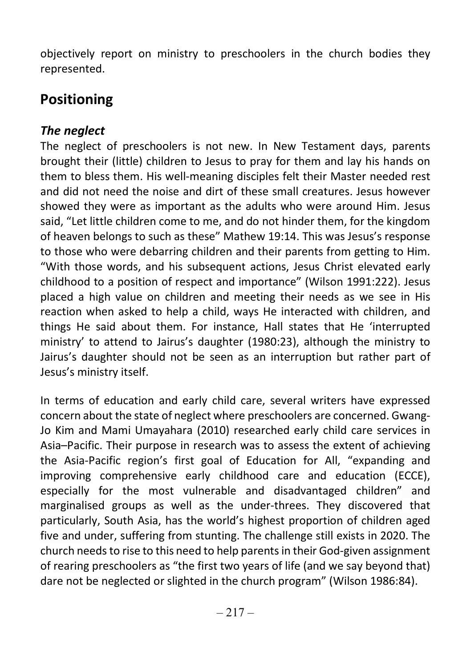objectively report on ministry to preschoolers in the church bodies they represented.

# Positioning

### The neglect

The neglect of preschoolers is not new. In New Testament days, parents brought their (little) children to Jesus to pray for them and lay his hands on them to bless them. His well-meaning disciples felt their Master needed rest and did not need the noise and dirt of these small creatures. Jesus however showed they were as important as the adults who were around Him. Jesus said, "Let little children come to me, and do not hinder them, for the kingdom of heaven belongs to such as these" Mathew 19:14. This was Jesus's response to those who were debarring children and their parents from getting to Him. "With those words, and his subsequent actions, Jesus Christ elevated early childhood to a position of respect and importance" (Wilson 1991:222). Jesus placed a high value on children and meeting their needs as we see in His reaction when asked to help a child, ways He interacted with children, and things He said about them. For instance, Hall states that He 'interrupted ministry' to attend to Jairus's daughter (1980:23), although the ministry to Jairus's daughter should not be seen as an interruption but rather part of Jesus's ministry itself.

In terms of education and early child care, several writers have expressed concern about the state of neglect where preschoolers are concerned. Gwang-Jo Kim and Mami Umayahara (2010) researched early child care services in Asia–Pacific. Their purpose in research was to assess the extent of achieving the Asia-Pacific region's first goal of Education for All, "expanding and improving comprehensive early childhood care and education (ECCE), especially for the most vulnerable and disadvantaged children" and marginalised groups as well as the under-threes. They discovered that particularly, South Asia, has the world's highest proportion of children aged five and under, suffering from stunting. The challenge still exists in 2020. The church needs to rise to this need to help parents in their God-given assignment of rearing preschoolers as "the first two years of life (and we say beyond that) dare not be neglected or slighted in the church program" (Wilson 1986:84).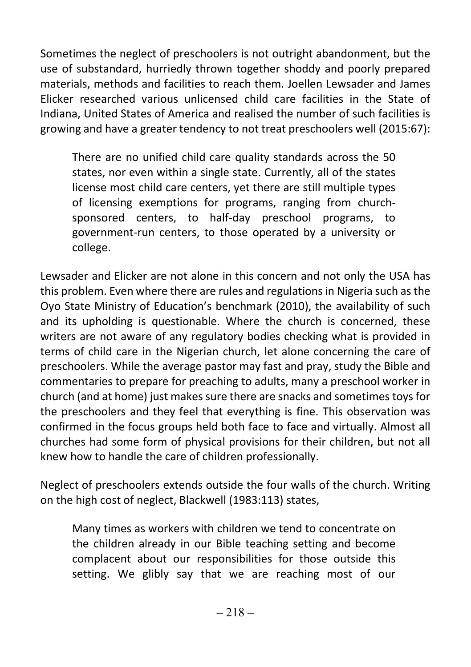Sometimes the neglect of preschoolers is not outright abandonment, but the use of substandard, hurriedly thrown together shoddy and poorly prepared materials, methods and facilities to reach them. Joellen Lewsader and James Elicker researched various unlicensed child care facilities in the State of Indiana, United States of America and realised the number of such facilities is growing and have a greater tendency to not treat preschoolers well (2015:67):

There are no unified child care quality standards across the 50 states, nor even within a single state. Currently, all of the states license most child care centers, yet there are still multiple types of licensing exemptions for programs, ranging from churchsponsored centers, to half-day preschool programs, to government-run centers, to those operated by a university or college.

Lewsader and Elicker are not alone in this concern and not only the USA has this problem. Even where there are rules and regulations in Nigeria such as the Oyo State Ministry of Education's benchmark (2010), the availability of such and its upholding is questionable. Where the church is concerned, these writers are not aware of any regulatory bodies checking what is provided in terms of child care in the Nigerian church, let alone concerning the care of preschoolers. While the average pastor may fast and pray, study the Bible and commentaries to prepare for preaching to adults, many a preschool worker in church (and at home) just makes sure there are snacks and sometimes toys for the preschoolers and they feel that everything is fine. This observation was confirmed in the focus groups held both face to face and virtually. Almost all churches had some form of physical provisions for their children, but not all knew how to handle the care of children professionally.

Neglect of preschoolers extends outside the four walls of the church. Writing on the high cost of neglect, Blackwell (1983:113) states,

Many times as workers with children we tend to concentrate on the children already in our Bible teaching setting and become complacent about our responsibilities for those outside this setting. We glibly say that we are reaching most of our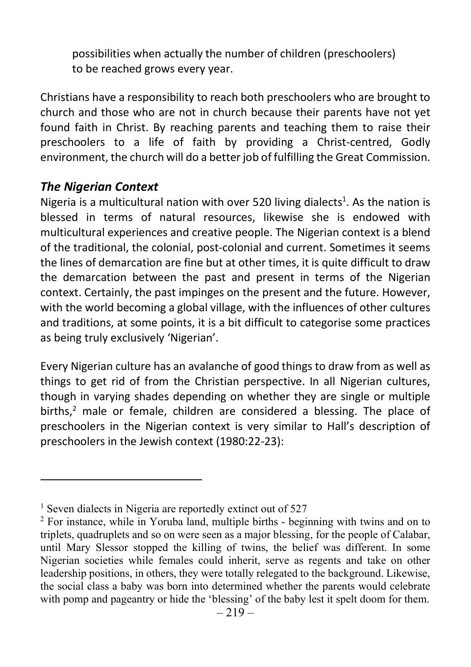possibilities when actually the number of children (preschoolers) to be reached grows every year.

Christians have a responsibility to reach both preschoolers who are brought to church and those who are not in church because their parents have not yet found faith in Christ. By reaching parents and teaching them to raise their preschoolers to a life of faith by providing a Christ-centred, Godly environment, the church will do a better job of fulfilling the Great Commission.

#### The Nigerian Context

Nigeria is a multicultural nation with over 520 living dialects<sup>1</sup>. As the nation is blessed in terms of natural resources, likewise she is endowed with multicultural experiences and creative people. The Nigerian context is a blend of the traditional, the colonial, post-colonial and current. Sometimes it seems the lines of demarcation are fine but at other times, it is quite difficult to draw the demarcation between the past and present in terms of the Nigerian context. Certainly, the past impinges on the present and the future. However, with the world becoming a global village, with the influences of other cultures and traditions, at some points, it is a bit difficult to categorise some practices as being truly exclusively 'Nigerian'.

Every Nigerian culture has an avalanche of good things to draw from as well as things to get rid of from the Christian perspective. In all Nigerian cultures, though in varying shades depending on whether they are single or multiple births, $<sup>2</sup>$  male or female, children are considered a blessing. The place of</sup> preschoolers in the Nigerian context is very similar to Hall's description of preschoolers in the Jewish context (1980:22-23):

<sup>&</sup>lt;sup>1</sup> Seven dialects in Nigeria are reportedly extinct out of 527

<sup>&</sup>lt;sup>2</sup> For instance, while in Yoruba land, multiple births - beginning with twins and on to triplets, quadruplets and so on were seen as a major blessing, for the people of Calabar, until Mary Slessor stopped the killing of twins, the belief was different. In some Nigerian societies while females could inherit, serve as regents and take on other leadership positions, in others, they were totally relegated to the background. Likewise, the social class a baby was born into determined whether the parents would celebrate with pomp and pageantry or hide the 'blessing' of the baby lest it spelt doom for them.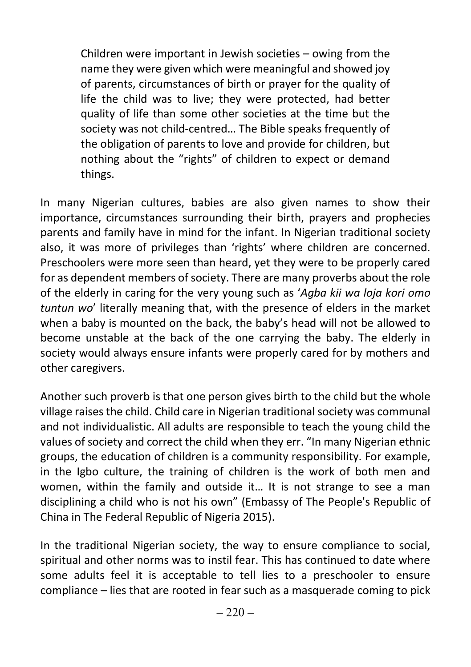Children were important in Jewish societies – owing from the name they were given which were meaningful and showed joy of parents, circumstances of birth or prayer for the quality of life the child was to live; they were protected, had better quality of life than some other societies at the time but the society was not child-centred… The Bible speaks frequently of the obligation of parents to love and provide for children, but nothing about the "rights" of children to expect or demand things.

In many Nigerian cultures, babies are also given names to show their importance, circumstances surrounding their birth, prayers and prophecies parents and family have in mind for the infant. In Nigerian traditional society also, it was more of privileges than 'rights' where children are concerned. Preschoolers were more seen than heard, yet they were to be properly cared for as dependent members of society. There are many proverbs about the role of the elderly in caring for the very young such as 'Agba kii wa loja kori omo tuntun wo' literally meaning that, with the presence of elders in the market when a baby is mounted on the back, the baby's head will not be allowed to become unstable at the back of the one carrying the baby. The elderly in society would always ensure infants were properly cared for by mothers and other caregivers.

Another such proverb is that one person gives birth to the child but the whole village raises the child. Child care in Nigerian traditional society was communal and not individualistic. All adults are responsible to teach the young child the values of society and correct the child when they err. "In many Nigerian ethnic groups, the education of children is a community responsibility. For example, in the Igbo culture, the training of children is the work of both men and women, within the family and outside it… It is not strange to see a man disciplining a child who is not his own" (Embassy of The People's Republic of China in The Federal Republic of Nigeria 2015).

In the traditional Nigerian society, the way to ensure compliance to social, spiritual and other norms was to instil fear. This has continued to date where some adults feel it is acceptable to tell lies to a preschooler to ensure compliance – lies that are rooted in fear such as a masquerade coming to pick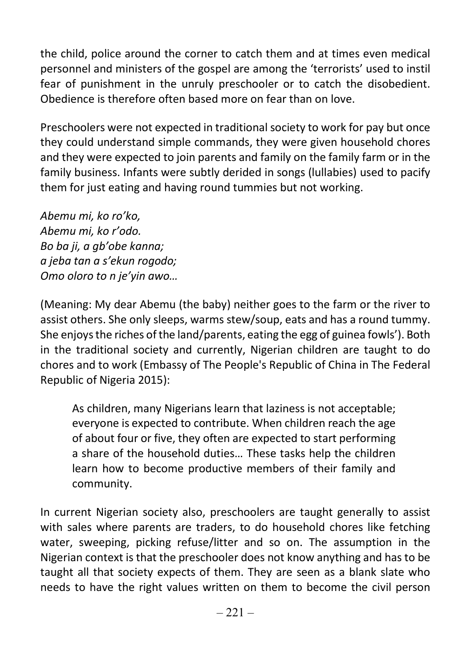the child, police around the corner to catch them and at times even medical personnel and ministers of the gospel are among the 'terrorists' used to instil fear of punishment in the unruly preschooler or to catch the disobedient. Obedience is therefore often based more on fear than on love.

Preschoolers were not expected in traditional society to work for pay but once they could understand simple commands, they were given household chores and they were expected to join parents and family on the family farm or in the family business. Infants were subtly derided in songs (lullabies) used to pacify them for just eating and having round tummies but not working.

Abemu mi, ko ro'ko, Abemu mi, ko r'odo. Bo ba ji, a gb'obe kanna; a jeba tan a s'ekun rogodo; Omo oloro to n je'yin awo…

(Meaning: My dear Abemu (the baby) neither goes to the farm or the river to assist others. She only sleeps, warms stew/soup, eats and has a round tummy. She enjoys the riches of the land/parents, eating the egg of guinea fowls'). Both in the traditional society and currently, Nigerian children are taught to do chores and to work (Embassy of The People's Republic of China in The Federal Republic of Nigeria 2015):

As children, many Nigerians learn that laziness is not acceptable; everyone is expected to contribute. When children reach the age of about four or five, they often are expected to start performing a share of the household duties… These tasks help the children learn how to become productive members of their family and community.

In current Nigerian society also, preschoolers are taught generally to assist with sales where parents are traders, to do household chores like fetching water, sweeping, picking refuse/litter and so on. The assumption in the Nigerian context is that the preschooler does not know anything and has to be taught all that society expects of them. They are seen as a blank slate who needs to have the right values written on them to become the civil person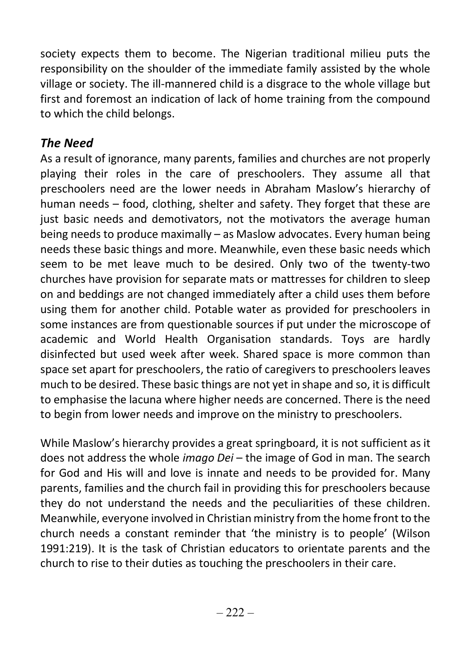society expects them to become. The Nigerian traditional milieu puts the responsibility on the shoulder of the immediate family assisted by the whole village or society. The ill-mannered child is a disgrace to the whole village but first and foremost an indication of lack of home training from the compound to which the child belongs.

### The Need

As a result of ignorance, many parents, families and churches are not properly playing their roles in the care of preschoolers. They assume all that preschoolers need are the lower needs in Abraham Maslow's hierarchy of human needs – food, clothing, shelter and safety. They forget that these are just basic needs and demotivators, not the motivators the average human being needs to produce maximally – as Maslow advocates. Every human being needs these basic things and more. Meanwhile, even these basic needs which seem to be met leave much to be desired. Only two of the twenty-two churches have provision for separate mats or mattresses for children to sleep on and beddings are not changed immediately after a child uses them before using them for another child. Potable water as provided for preschoolers in some instances are from questionable sources if put under the microscope of academic and World Health Organisation standards. Toys are hardly disinfected but used week after week. Shared space is more common than space set apart for preschoolers, the ratio of caregivers to preschoolers leaves much to be desired. These basic things are not yet in shape and so, it is difficult to emphasise the lacuna where higher needs are concerned. There is the need to begin from lower needs and improve on the ministry to preschoolers.

While Maslow's hierarchy provides a great springboard, it is not sufficient as it does not address the whole *imago Dei* – the image of God in man. The search for God and His will and love is innate and needs to be provided for. Many parents, families and the church fail in providing this for preschoolers because they do not understand the needs and the peculiarities of these children. Meanwhile, everyone involved in Christian ministry from the home front to the church needs a constant reminder that 'the ministry is to people' (Wilson 1991:219). It is the task of Christian educators to orientate parents and the church to rise to their duties as touching the preschoolers in their care.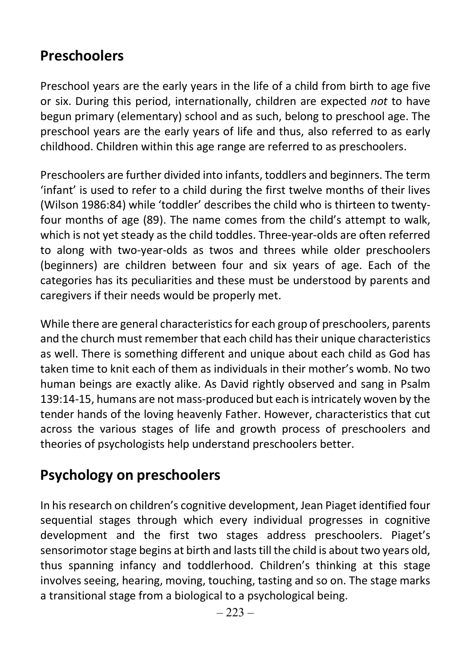# Preschoolers

Preschool years are the early years in the life of a child from birth to age five or six. During this period, internationally, children are expected not to have begun primary (elementary) school and as such, belong to preschool age. The preschool years are the early years of life and thus, also referred to as early childhood. Children within this age range are referred to as preschoolers.

Preschoolers are further divided into infants, toddlers and beginners. The term 'infant' is used to refer to a child during the first twelve months of their lives (Wilson 1986:84) while 'toddler' describes the child who is thirteen to twentyfour months of age (89). The name comes from the child's attempt to walk, which is not yet steady as the child toddles. Three-year-olds are often referred to along with two-year-olds as twos and threes while older preschoolers (beginners) are children between four and six years of age. Each of the categories has its peculiarities and these must be understood by parents and caregivers if their needs would be properly met.

While there are general characteristics for each group of preschoolers, parents and the church must remember that each child has their unique characteristics as well. There is something different and unique about each child as God has taken time to knit each of them as individuals in their mother's womb. No two human beings are exactly alike. As David rightly observed and sang in Psalm 139:14-15, humans are not mass-produced but each is intricately woven by the tender hands of the loving heavenly Father. However, characteristics that cut across the various stages of life and growth process of preschoolers and theories of psychologists help understand preschoolers better.

## Psychology on preschoolers

In his research on children's cognitive development, Jean Piaget identified four sequential stages through which every individual progresses in cognitive development and the first two stages address preschoolers. Piaget's sensorimotor stage begins at birth and lasts till the child is about two years old, thus spanning infancy and toddlerhood. Children's thinking at this stage involves seeing, hearing, moving, touching, tasting and so on. The stage marks a transitional stage from a biological to a psychological being.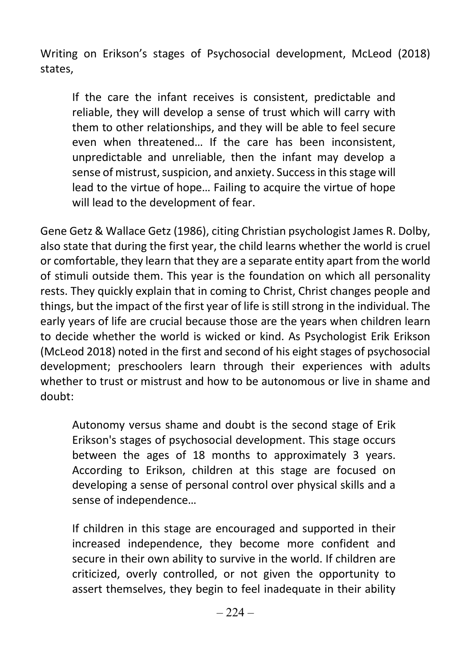Writing on Erikson's stages of Psychosocial development, McLeod (2018) states,

If the care the infant receives is consistent, predictable and reliable, they will develop a sense of trust which will carry with them to other relationships, and they will be able to feel secure even when threatened… If the care has been inconsistent, unpredictable and unreliable, then the infant may develop a sense of mistrust, suspicion, and anxiety. Success in this stage will lead to the virtue of hope… Failing to acquire the virtue of hope will lead to the development of fear.

Gene Getz & Wallace Getz (1986), citing Christian psychologist James R. Dolby, also state that during the first year, the child learns whether the world is cruel or comfortable, they learn that they are a separate entity apart from the world of stimuli outside them. This year is the foundation on which all personality rests. They quickly explain that in coming to Christ, Christ changes people and things, but the impact of the first year of life is still strong in the individual. The early years of life are crucial because those are the years when children learn to decide whether the world is wicked or kind. As Psychologist Erik Erikson (McLeod 2018) noted in the first and second of his eight stages of psychosocial development; preschoolers learn through their experiences with adults whether to trust or mistrust and how to be autonomous or live in shame and doubt:

Autonomy versus shame and doubt is the second stage of Erik Erikson's stages of psychosocial development. This stage occurs between the ages of 18 months to approximately 3 years. According to Erikson, children at this stage are focused on developing a sense of personal control over physical skills and a sense of independence…

If children in this stage are encouraged and supported in their increased independence, they become more confident and secure in their own ability to survive in the world. If children are criticized, overly controlled, or not given the opportunity to assert themselves, they begin to feel inadequate in their ability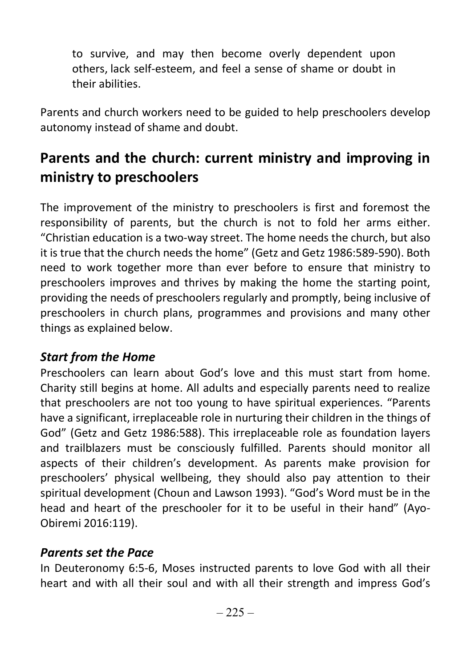to survive, and may then become overly dependent upon others, lack self-esteem, and feel a sense of shame or doubt in their abilities.

Parents and church workers need to be guided to help preschoolers develop autonomy instead of shame and doubt.

# Parents and the church: current ministry and improving in ministry to preschoolers

The improvement of the ministry to preschoolers is first and foremost the responsibility of parents, but the church is not to fold her arms either. "Christian education is a two-way street. The home needs the church, but also it is true that the church needs the home" (Getz and Getz 1986:589-590). Both need to work together more than ever before to ensure that ministry to preschoolers improves and thrives by making the home the starting point, providing the needs of preschoolers regularly and promptly, being inclusive of preschoolers in church plans, programmes and provisions and many other things as explained below.

#### Start from the Home

Preschoolers can learn about God's love and this must start from home. Charity still begins at home. All adults and especially parents need to realize that preschoolers are not too young to have spiritual experiences. "Parents have a significant, irreplaceable role in nurturing their children in the things of God" (Getz and Getz 1986:588). This irreplaceable role as foundation layers and trailblazers must be consciously fulfilled. Parents should monitor all aspects of their children's development. As parents make provision for preschoolers' physical wellbeing, they should also pay attention to their spiritual development (Choun and Lawson 1993). "God's Word must be in the head and heart of the preschooler for it to be useful in their hand" (Ayo-Obiremi 2016:119).

#### Parents set the Pace

In Deuteronomy 6:5-6, Moses instructed parents to love God with all their heart and with all their soul and with all their strength and impress God's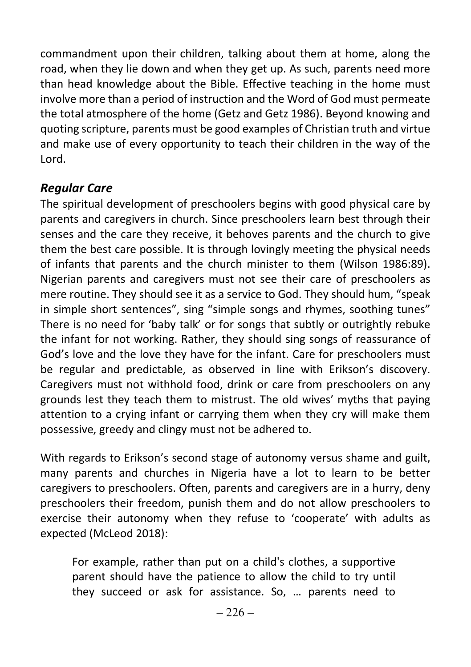commandment upon their children, talking about them at home, along the road, when they lie down and when they get up. As such, parents need more than head knowledge about the Bible. Effective teaching in the home must involve more than a period of instruction and the Word of God must permeate the total atmosphere of the home (Getz and Getz 1986). Beyond knowing and quoting scripture, parents must be good examples of Christian truth and virtue and make use of every opportunity to teach their children in the way of the Lord.

#### Regular Care

The spiritual development of preschoolers begins with good physical care by parents and caregivers in church. Since preschoolers learn best through their senses and the care they receive, it behoves parents and the church to give them the best care possible. It is through lovingly meeting the physical needs of infants that parents and the church minister to them (Wilson 1986:89). Nigerian parents and caregivers must not see their care of preschoolers as mere routine. They should see it as a service to God. They should hum, "speak in simple short sentences", sing "simple songs and rhymes, soothing tunes" There is no need for 'baby talk' or for songs that subtly or outrightly rebuke the infant for not working. Rather, they should sing songs of reassurance of God's love and the love they have for the infant. Care for preschoolers must be regular and predictable, as observed in line with Erikson's discovery. Caregivers must not withhold food, drink or care from preschoolers on any grounds lest they teach them to mistrust. The old wives' myths that paying attention to a crying infant or carrying them when they cry will make them possessive, greedy and clingy must not be adhered to.

With regards to Erikson's second stage of autonomy versus shame and guilt, many parents and churches in Nigeria have a lot to learn to be better caregivers to preschoolers. Often, parents and caregivers are in a hurry, deny preschoolers their freedom, punish them and do not allow preschoolers to exercise their autonomy when they refuse to 'cooperate' with adults as expected (McLeod 2018):

For example, rather than put on a child's clothes, a supportive parent should have the patience to allow the child to try until they succeed or ask for assistance. So, … parents need to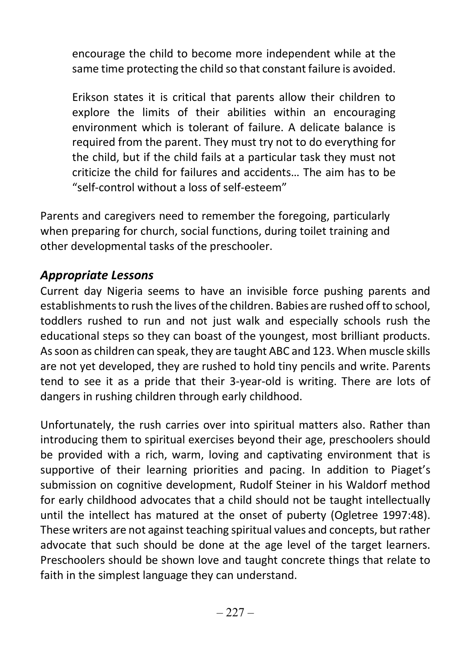encourage the child to become more independent while at the same time protecting the child so that constant failure is avoided.

Erikson states it is critical that parents allow their children to explore the limits of their abilities within an encouraging environment which is tolerant of failure. A delicate balance is required from the parent. They must try not to do everything for the child, but if the child fails at a particular task they must not criticize the child for failures and accidents… The aim has to be "self-control without a loss of self-esteem"

Parents and caregivers need to remember the foregoing, particularly when preparing for church, social functions, during toilet training and other developmental tasks of the preschooler.

#### Appropriate Lessons

Current day Nigeria seems to have an invisible force pushing parents and establishments to rush the lives of the children. Babies are rushed off to school, toddlers rushed to run and not just walk and especially schools rush the educational steps so they can boast of the youngest, most brilliant products. As soon as children can speak, they are taught ABC and 123. When muscle skills are not yet developed, they are rushed to hold tiny pencils and write. Parents tend to see it as a pride that their 3-year-old is writing. There are lots of dangers in rushing children through early childhood.

Unfortunately, the rush carries over into spiritual matters also. Rather than introducing them to spiritual exercises beyond their age, preschoolers should be provided with a rich, warm, loving and captivating environment that is supportive of their learning priorities and pacing. In addition to Piaget's submission on cognitive development, Rudolf Steiner in his Waldorf method for early childhood advocates that a child should not be taught intellectually until the intellect has matured at the onset of puberty (Ogletree 1997:48). These writers are not against teaching spiritual values and concepts, but rather advocate that such should be done at the age level of the target learners. Preschoolers should be shown love and taught concrete things that relate to faith in the simplest language they can understand.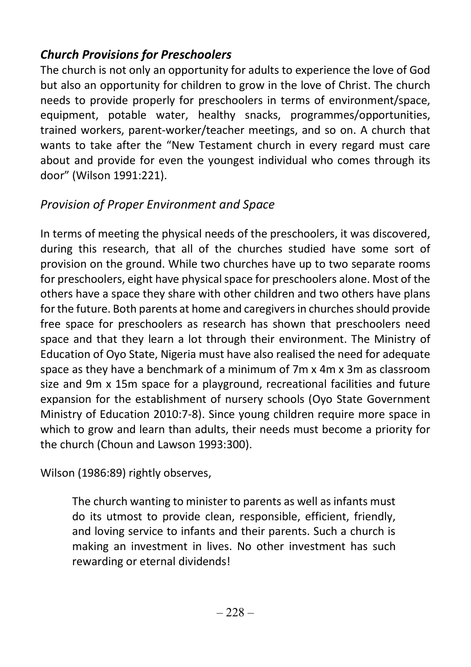### Church Provisions for Preschoolers

The church is not only an opportunity for adults to experience the love of God but also an opportunity for children to grow in the love of Christ. The church needs to provide properly for preschoolers in terms of environment/space, equipment, potable water, healthy snacks, programmes/opportunities, trained workers, parent-worker/teacher meetings, and so on. A church that wants to take after the "New Testament church in every regard must care about and provide for even the youngest individual who comes through its door" (Wilson 1991:221).

### Provision of Proper Environment and Space

In terms of meeting the physical needs of the preschoolers, it was discovered, during this research, that all of the churches studied have some sort of provision on the ground. While two churches have up to two separate rooms for preschoolers, eight have physical space for preschoolers alone. Most of the others have a space they share with other children and two others have plans for the future. Both parents at home and caregivers in churches should provide free space for preschoolers as research has shown that preschoolers need space and that they learn a lot through their environment. The Ministry of Education of Oyo State, Nigeria must have also realised the need for adequate space as they have a benchmark of a minimum of 7m x 4m x 3m as classroom size and 9m x 15m space for a playground, recreational facilities and future expansion for the establishment of nursery schools (Oyo State Government Ministry of Education 2010:7-8). Since young children require more space in which to grow and learn than adults, their needs must become a priority for the church (Choun and Lawson 1993:300).

Wilson (1986:89) rightly observes,

The church wanting to minister to parents as well as infants must do its utmost to provide clean, responsible, efficient, friendly, and loving service to infants and their parents. Such a church is making an investment in lives. No other investment has such rewarding or eternal dividends!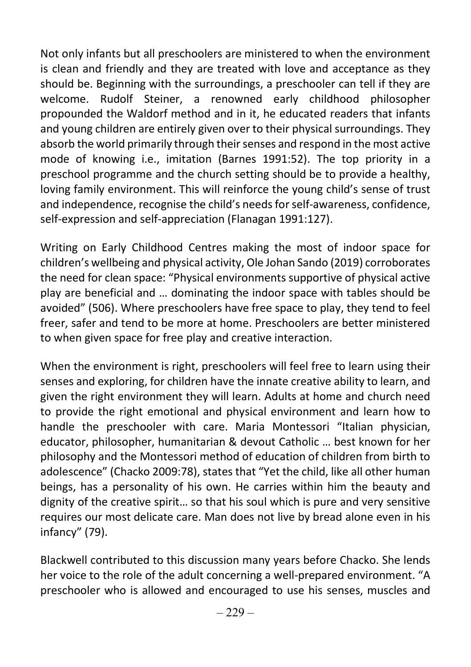Not only infants but all preschoolers are ministered to when the environment is clean and friendly and they are treated with love and acceptance as they should be. Beginning with the surroundings, a preschooler can tell if they are welcome. Rudolf Steiner, a renowned early childhood philosopher propounded the Waldorf method and in it, he educated readers that infants and young children are entirely given over to their physical surroundings. They absorb the world primarily through their senses and respond in the most active mode of knowing i.e., imitation (Barnes 1991:52). The top priority in a preschool programme and the church setting should be to provide a healthy, loving family environment. This will reinforce the young child's sense of trust and independence, recognise the child's needs for self-awareness, confidence, self-expression and self-appreciation (Flanagan 1991:127).

Writing on Early Childhood Centres making the most of indoor space for children's wellbeing and physical activity, Ole Johan Sando (2019) corroborates the need for clean space: "Physical environments supportive of physical active play are beneficial and … dominating the indoor space with tables should be avoided" (506). Where preschoolers have free space to play, they tend to feel freer, safer and tend to be more at home. Preschoolers are better ministered to when given space for free play and creative interaction.

When the environment is right, preschoolers will feel free to learn using their senses and exploring, for children have the innate creative ability to learn, and given the right environment they will learn. Adults at home and church need to provide the right emotional and physical environment and learn how to handle the preschooler with care. Maria Montessori "Italian physician, educator, philosopher, humanitarian & devout Catholic … best known for her philosophy and the Montessori method of education of children from birth to adolescence" (Chacko 2009:78), states that "Yet the child, like all other human beings, has a personality of his own. He carries within him the beauty and dignity of the creative spirit… so that his soul which is pure and very sensitive requires our most delicate care. Man does not live by bread alone even in his infancy" (79).

Blackwell contributed to this discussion many years before Chacko. She lends her voice to the role of the adult concerning a well-prepared environment. "A preschooler who is allowed and encouraged to use his senses, muscles and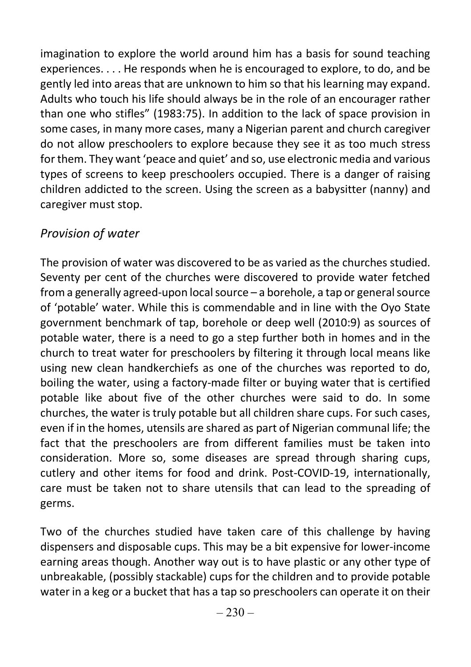imagination to explore the world around him has a basis for sound teaching experiences. . . . He responds when he is encouraged to explore, to do, and be gently led into areas that are unknown to him so that his learning may expand. Adults who touch his life should always be in the role of an encourager rather than one who stifles" (1983:75). In addition to the lack of space provision in some cases, in many more cases, many a Nigerian parent and church caregiver do not allow preschoolers to explore because they see it as too much stress for them. They want 'peace and quiet' and so, use electronic media and various types of screens to keep preschoolers occupied. There is a danger of raising children addicted to the screen. Using the screen as a babysitter (nanny) and caregiver must stop.

### Provision of water

The provision of water was discovered to be as varied as the churches studied. Seventy per cent of the churches were discovered to provide water fetched from a generally agreed-upon local source – a borehole, a tap or general source of 'potable' water. While this is commendable and in line with the Oyo State government benchmark of tap, borehole or deep well (2010:9) as sources of potable water, there is a need to go a step further both in homes and in the church to treat water for preschoolers by filtering it through local means like using new clean handkerchiefs as one of the churches was reported to do, boiling the water, using a factory-made filter or buying water that is certified potable like about five of the other churches were said to do. In some churches, the water is truly potable but all children share cups. For such cases, even if in the homes, utensils are shared as part of Nigerian communal life; the fact that the preschoolers are from different families must be taken into consideration. More so, some diseases are spread through sharing cups, cutlery and other items for food and drink. Post-COVID-19, internationally, care must be taken not to share utensils that can lead to the spreading of germs.

Two of the churches studied have taken care of this challenge by having dispensers and disposable cups. This may be a bit expensive for lower-income earning areas though. Another way out is to have plastic or any other type of unbreakable, (possibly stackable) cups for the children and to provide potable water in a keg or a bucket that has a tap so preschoolers can operate it on their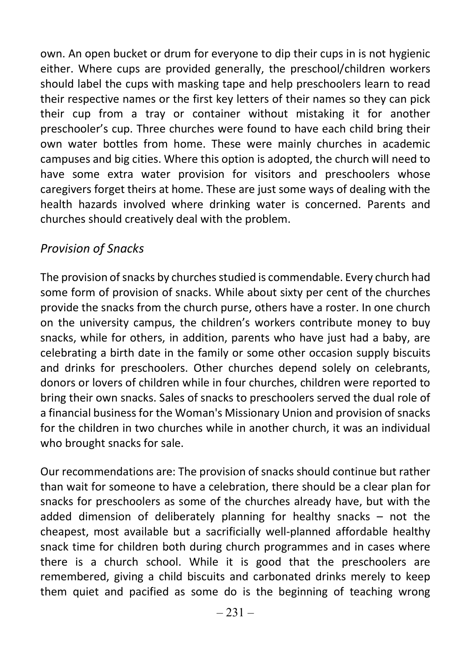own. An open bucket or drum for everyone to dip their cups in is not hygienic either. Where cups are provided generally, the preschool/children workers should label the cups with masking tape and help preschoolers learn to read their respective names or the first key letters of their names so they can pick their cup from a tray or container without mistaking it for another preschooler's cup. Three churches were found to have each child bring their own water bottles from home. These were mainly churches in academic campuses and big cities. Where this option is adopted, the church will need to have some extra water provision for visitors and preschoolers whose caregivers forget theirs at home. These are just some ways of dealing with the health hazards involved where drinking water is concerned. Parents and churches should creatively deal with the problem.

### Provision of Snacks

The provision of snacks by churches studied is commendable. Every church had some form of provision of snacks. While about sixty per cent of the churches provide the snacks from the church purse, others have a roster. In one church on the university campus, the children's workers contribute money to buy snacks, while for others, in addition, parents who have just had a baby, are celebrating a birth date in the family or some other occasion supply biscuits and drinks for preschoolers. Other churches depend solely on celebrants, donors or lovers of children while in four churches, children were reported to bring their own snacks. Sales of snacks to preschoolers served the dual role of a financial business for the Woman's Missionary Union and provision of snacks for the children in two churches while in another church, it was an individual who brought snacks for sale.

Our recommendations are: The provision of snacks should continue but rather than wait for someone to have a celebration, there should be a clear plan for snacks for preschoolers as some of the churches already have, but with the added dimension of deliberately planning for healthy snacks – not the cheapest, most available but a sacrificially well-planned affordable healthy snack time for children both during church programmes and in cases where there is a church school. While it is good that the preschoolers are remembered, giving a child biscuits and carbonated drinks merely to keep them quiet and pacified as some do is the beginning of teaching wrong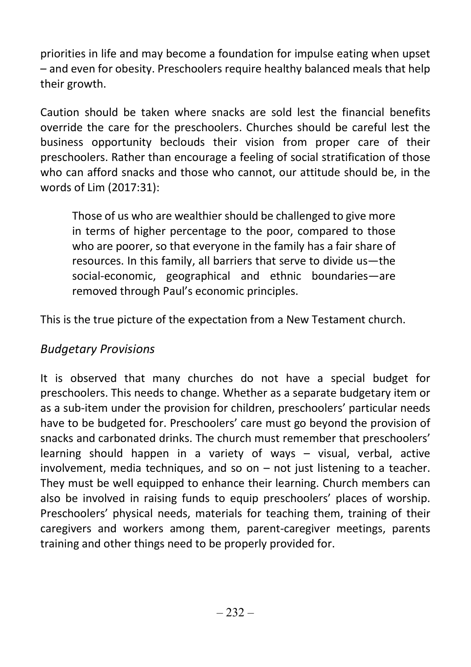priorities in life and may become a foundation for impulse eating when upset – and even for obesity. Preschoolers require healthy balanced meals that help their growth.

Caution should be taken where snacks are sold lest the financial benefits override the care for the preschoolers. Churches should be careful lest the business opportunity beclouds their vision from proper care of their preschoolers. Rather than encourage a feeling of social stratification of those who can afford snacks and those who cannot, our attitude should be, in the words of Lim (2017:31):

Those of us who are wealthier should be challenged to give more in terms of higher percentage to the poor, compared to those who are poorer, so that everyone in the family has a fair share of resources. In this family, all barriers that serve to divide us—the social-economic, geographical and ethnic boundaries—are removed through Paul's economic principles.

This is the true picture of the expectation from a New Testament church.

### Budgetary Provisions

It is observed that many churches do not have a special budget for preschoolers. This needs to change. Whether as a separate budgetary item or as a sub-item under the provision for children, preschoolers' particular needs have to be budgeted for. Preschoolers' care must go beyond the provision of snacks and carbonated drinks. The church must remember that preschoolers' learning should happen in a variety of ways – visual, verbal, active involvement, media techniques, and so on – not just listening to a teacher. They must be well equipped to enhance their learning. Church members can also be involved in raising funds to equip preschoolers' places of worship. Preschoolers' physical needs, materials for teaching them, training of their caregivers and workers among them, parent-caregiver meetings, parents training and other things need to be properly provided for.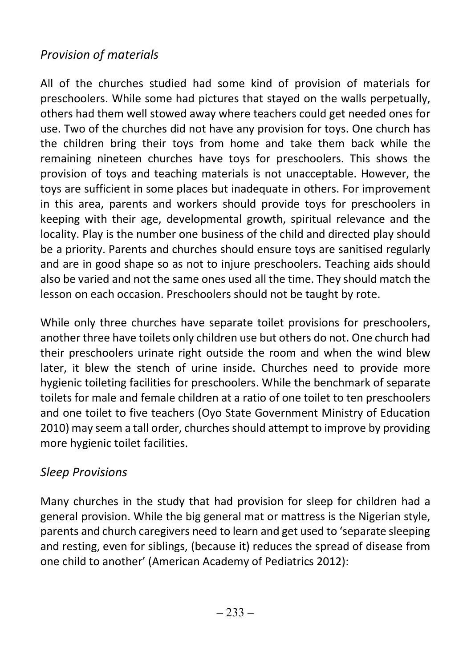### Provision of materials

All of the churches studied had some kind of provision of materials for preschoolers. While some had pictures that stayed on the walls perpetually, others had them well stowed away where teachers could get needed ones for use. Two of the churches did not have any provision for toys. One church has the children bring their toys from home and take them back while the remaining nineteen churches have toys for preschoolers. This shows the provision of toys and teaching materials is not unacceptable. However, the toys are sufficient in some places but inadequate in others. For improvement in this area, parents and workers should provide toys for preschoolers in keeping with their age, developmental growth, spiritual relevance and the locality. Play is the number one business of the child and directed play should be a priority. Parents and churches should ensure toys are sanitised regularly and are in good shape so as not to injure preschoolers. Teaching aids should also be varied and not the same ones used all the time. They should match the lesson on each occasion. Preschoolers should not be taught by rote.

While only three churches have separate toilet provisions for preschoolers, another three have toilets only children use but others do not. One church had their preschoolers urinate right outside the room and when the wind blew later, it blew the stench of urine inside. Churches need to provide more hygienic toileting facilities for preschoolers. While the benchmark of separate toilets for male and female children at a ratio of one toilet to ten preschoolers and one toilet to five teachers (Oyo State Government Ministry of Education 2010) may seem a tall order, churches should attempt to improve by providing more hygienic toilet facilities.

### Sleep Provisions

Many churches in the study that had provision for sleep for children had a general provision. While the big general mat or mattress is the Nigerian style, parents and church caregivers need to learn and get used to 'separate sleeping and resting, even for siblings, (because it) reduces the spread of disease from one child to another' (American Academy of Pediatrics 2012):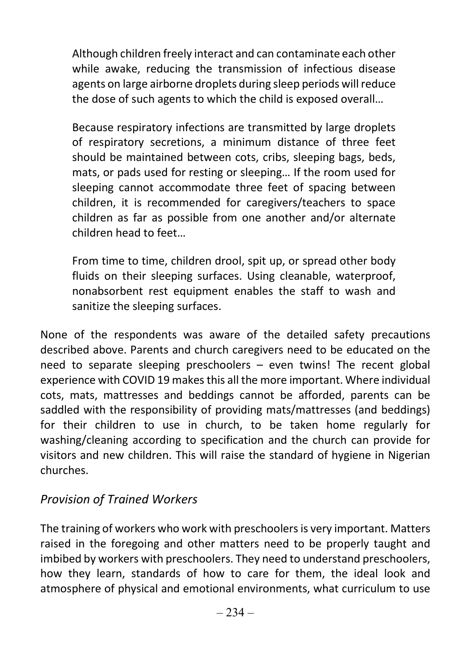Although children freely interact and can contaminate each other while awake, reducing the transmission of infectious disease agents on large airborne droplets during sleep periods will reduce the dose of such agents to which the child is exposed overall…

Because respiratory infections are transmitted by large droplets of respiratory secretions, a minimum distance of three feet should be maintained between cots, cribs, sleeping bags, beds, mats, or pads used for resting or sleeping… If the room used for sleeping cannot accommodate three feet of spacing between children, it is recommended for caregivers/teachers to space children as far as possible from one another and/or alternate children head to feet…

From time to time, children drool, spit up, or spread other body fluids on their sleeping surfaces. Using cleanable, waterproof, nonabsorbent rest equipment enables the staff to wash and sanitize the sleeping surfaces.

None of the respondents was aware of the detailed safety precautions described above. Parents and church caregivers need to be educated on the need to separate sleeping preschoolers – even twins! The recent global experience with COVID 19 makes this all the more important. Where individual cots, mats, mattresses and beddings cannot be afforded, parents can be saddled with the responsibility of providing mats/mattresses (and beddings) for their children to use in church, to be taken home regularly for washing/cleaning according to specification and the church can provide for visitors and new children. This will raise the standard of hygiene in Nigerian churches.

#### Provision of Trained Workers

The training of workers who work with preschoolers is very important. Matters raised in the foregoing and other matters need to be properly taught and imbibed by workers with preschoolers. They need to understand preschoolers, how they learn, standards of how to care for them, the ideal look and atmosphere of physical and emotional environments, what curriculum to use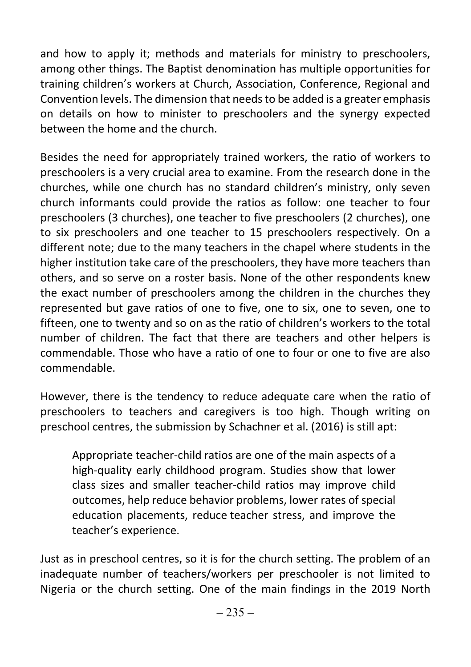and how to apply it; methods and materials for ministry to preschoolers, among other things. The Baptist denomination has multiple opportunities for training children's workers at Church, Association, Conference, Regional and Convention levels. The dimension that needs to be added is a greater emphasis on details on how to minister to preschoolers and the synergy expected between the home and the church.

Besides the need for appropriately trained workers, the ratio of workers to preschoolers is a very crucial area to examine. From the research done in the churches, while one church has no standard children's ministry, only seven church informants could provide the ratios as follow: one teacher to four preschoolers (3 churches), one teacher to five preschoolers (2 churches), one to six preschoolers and one teacher to 15 preschoolers respectively. On a different note; due to the many teachers in the chapel where students in the higher institution take care of the preschoolers, they have more teachers than others, and so serve on a roster basis. None of the other respondents knew the exact number of preschoolers among the children in the churches they represented but gave ratios of one to five, one to six, one to seven, one to fifteen, one to twenty and so on as the ratio of children's workers to the total number of children. The fact that there are teachers and other helpers is commendable. Those who have a ratio of one to four or one to five are also commendable.

However, there is the tendency to reduce adequate care when the ratio of preschoolers to teachers and caregivers is too high. Though writing on preschool centres, the submission by Schachner et al. (2016) is still apt:

Appropriate teacher-child ratios are one of the main aspects of a high-quality early childhood program. Studies show that lower class sizes and smaller teacher-child ratios may improve child outcomes, help reduce behavior problems, lower rates of special education placements, reduce teacher stress, and improve the teacher's experience.

Just as in preschool centres, so it is for the church setting. The problem of an inadequate number of teachers/workers per preschooler is not limited to Nigeria or the church setting. One of the main findings in the 2019 North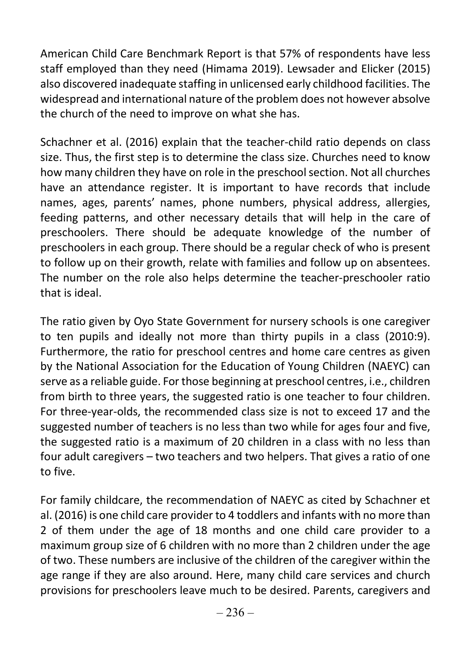American Child Care Benchmark Report is that 57% of respondents have less staff employed than they need (Himama 2019). Lewsader and Elicker (2015) also discovered inadequate staffing in unlicensed early childhood facilities. The widespread and international nature of the problem does not however absolve the church of the need to improve on what she has.

Schachner et al. (2016) explain that the teacher-child ratio depends on class size. Thus, the first step is to determine the class size. Churches need to know how many children they have on role in the preschool section. Not all churches have an attendance register. It is important to have records that include names, ages, parents' names, phone numbers, physical address, allergies, feeding patterns, and other necessary details that will help in the care of preschoolers. There should be adequate knowledge of the number of preschoolers in each group. There should be a regular check of who is present to follow up on their growth, relate with families and follow up on absentees. The number on the role also helps determine the teacher-preschooler ratio that is ideal.

The ratio given by Oyo State Government for nursery schools is one caregiver to ten pupils and ideally not more than thirty pupils in a class (2010:9). Furthermore, the ratio for preschool centres and home care centres as given by the National Association for the Education of Young Children (NAEYC) can serve as a reliable guide. For those beginning at preschool centres, i.e., children from birth to three years, the suggested ratio is one teacher to four children. For three-year-olds, the recommended class size is not to exceed 17 and the suggested number of teachers is no less than two while for ages four and five, the suggested ratio is a maximum of 20 children in a class with no less than four adult caregivers – two teachers and two helpers. That gives a ratio of one to five.

For family childcare, the recommendation of NAEYC as cited by Schachner et al. (2016) is one child care provider to 4 toddlers and infants with no more than 2 of them under the age of 18 months and one child care provider to a maximum group size of 6 children with no more than 2 children under the age of two. These numbers are inclusive of the children of the caregiver within the age range if they are also around. Here, many child care services and church provisions for preschoolers leave much to be desired. Parents, caregivers and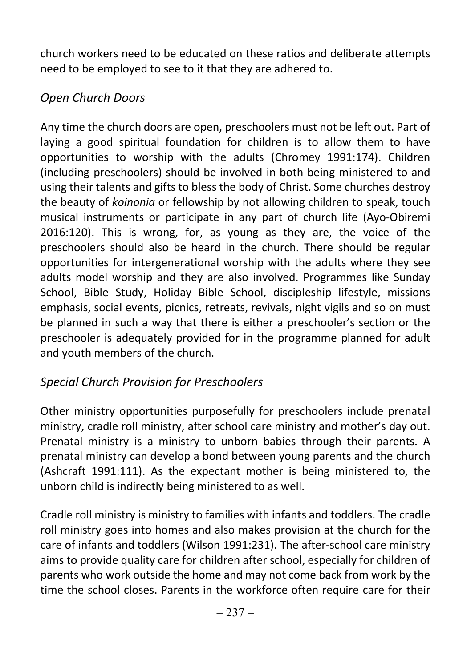church workers need to be educated on these ratios and deliberate attempts need to be employed to see to it that they are adhered to.

### Open Church Doors

Any time the church doors are open, preschoolers must not be left out. Part of laying a good spiritual foundation for children is to allow them to have opportunities to worship with the adults (Chromey 1991:174). Children (including preschoolers) should be involved in both being ministered to and using their talents and gifts to bless the body of Christ. Some churches destroy the beauty of koinonia or fellowship by not allowing children to speak, touch musical instruments or participate in any part of church life (Ayo-Obiremi 2016:120). This is wrong, for, as young as they are, the voice of the preschoolers should also be heard in the church. There should be regular opportunities for intergenerational worship with the adults where they see adults model worship and they are also involved. Programmes like Sunday School, Bible Study, Holiday Bible School, discipleship lifestyle, missions emphasis, social events, picnics, retreats, revivals, night vigils and so on must be planned in such a way that there is either a preschooler's section or the preschooler is adequately provided for in the programme planned for adult and youth members of the church.

### Special Church Provision for Preschoolers

Other ministry opportunities purposefully for preschoolers include prenatal ministry, cradle roll ministry, after school care ministry and mother's day out. Prenatal ministry is a ministry to unborn babies through their parents. A prenatal ministry can develop a bond between young parents and the church (Ashcraft 1991:111). As the expectant mother is being ministered to, the unborn child is indirectly being ministered to as well.

Cradle roll ministry is ministry to families with infants and toddlers. The cradle roll ministry goes into homes and also makes provision at the church for the care of infants and toddlers (Wilson 1991:231). The after-school care ministry aims to provide quality care for children after school, especially for children of parents who work outside the home and may not come back from work by the time the school closes. Parents in the workforce often require care for their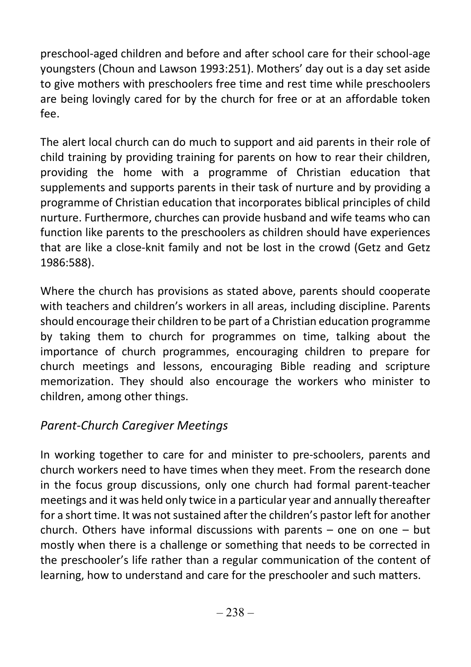preschool-aged children and before and after school care for their school-age youngsters (Choun and Lawson 1993:251). Mothers' day out is a day set aside to give mothers with preschoolers free time and rest time while preschoolers are being lovingly cared for by the church for free or at an affordable token fee.

The alert local church can do much to support and aid parents in their role of child training by providing training for parents on how to rear their children, providing the home with a programme of Christian education that supplements and supports parents in their task of nurture and by providing a programme of Christian education that incorporates biblical principles of child nurture. Furthermore, churches can provide husband and wife teams who can function like parents to the preschoolers as children should have experiences that are like a close-knit family and not be lost in the crowd (Getz and Getz 1986:588).

Where the church has provisions as stated above, parents should cooperate with teachers and children's workers in all areas, including discipline. Parents should encourage their children to be part of a Christian education programme by taking them to church for programmes on time, talking about the importance of church programmes, encouraging children to prepare for church meetings and lessons, encouraging Bible reading and scripture memorization. They should also encourage the workers who minister to children, among other things.

### Parent-Church Caregiver Meetings

In working together to care for and minister to pre-schoolers, parents and church workers need to have times when they meet. From the research done in the focus group discussions, only one church had formal parent-teacher meetings and it was held only twice in a particular year and annually thereafter for a short time. It was not sustained after the children's pastor left for another church. Others have informal discussions with parents – one on one – but mostly when there is a challenge or something that needs to be corrected in the preschooler's life rather than a regular communication of the content of learning, how to understand and care for the preschooler and such matters.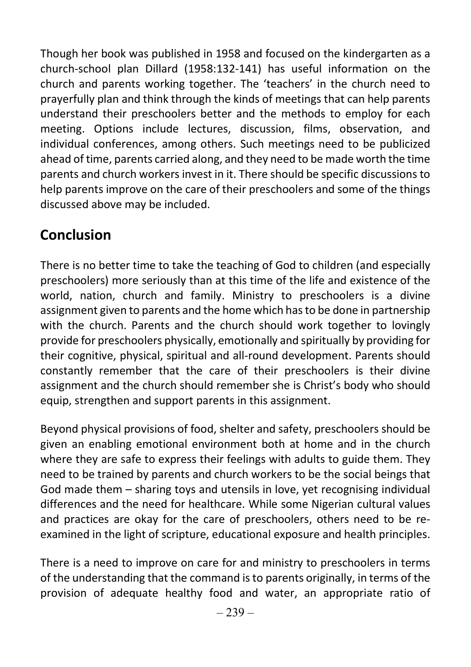Though her book was published in 1958 and focused on the kindergarten as a church-school plan Dillard (1958:132-141) has useful information on the church and parents working together. The 'teachers' in the church need to prayerfully plan and think through the kinds of meetings that can help parents understand their preschoolers better and the methods to employ for each meeting. Options include lectures, discussion, films, observation, and individual conferences, among others. Such meetings need to be publicized ahead of time, parents carried along, and they need to be made worth the time parents and church workers invest in it. There should be specific discussions to help parents improve on the care of their preschoolers and some of the things discussed above may be included.

# Conclusion

There is no better time to take the teaching of God to children (and especially preschoolers) more seriously than at this time of the life and existence of the world, nation, church and family. Ministry to preschoolers is a divine assignment given to parents and the home which has to be done in partnership with the church. Parents and the church should work together to lovingly provide for preschoolers physically, emotionally and spiritually by providing for their cognitive, physical, spiritual and all-round development. Parents should constantly remember that the care of their preschoolers is their divine assignment and the church should remember she is Christ's body who should equip, strengthen and support parents in this assignment.

Beyond physical provisions of food, shelter and safety, preschoolers should be given an enabling emotional environment both at home and in the church where they are safe to express their feelings with adults to guide them. They need to be trained by parents and church workers to be the social beings that God made them – sharing toys and utensils in love, yet recognising individual differences and the need for healthcare. While some Nigerian cultural values and practices are okay for the care of preschoolers, others need to be reexamined in the light of scripture, educational exposure and health principles.

There is a need to improve on care for and ministry to preschoolers in terms of the understanding that the command is to parents originally, in terms of the provision of adequate healthy food and water, an appropriate ratio of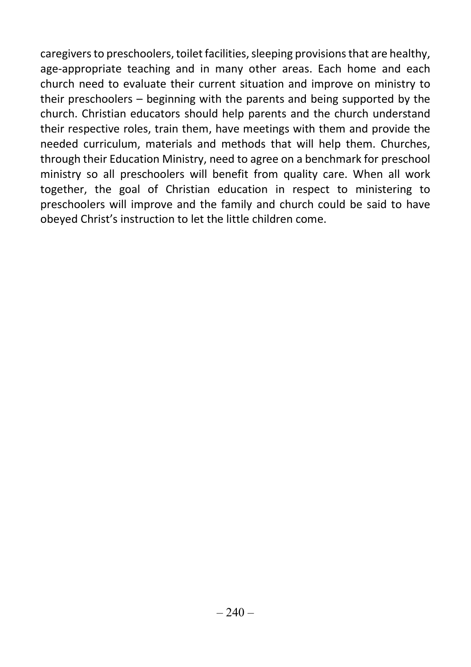caregivers to preschoolers, toilet facilities, sleeping provisions that are healthy, age-appropriate teaching and in many other areas. Each home and each church need to evaluate their current situation and improve on ministry to their preschoolers – beginning with the parents and being supported by the church. Christian educators should help parents and the church understand their respective roles, train them, have meetings with them and provide the needed curriculum, materials and methods that will help them. Churches, through their Education Ministry, need to agree on a benchmark for preschool ministry so all preschoolers will benefit from quality care. When all work together, the goal of Christian education in respect to ministering to preschoolers will improve and the family and church could be said to have obeyed Christ's instruction to let the little children come.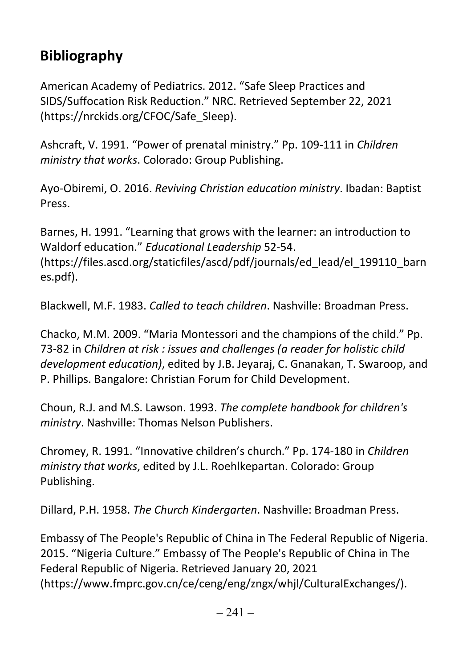# Bibliography

American Academy of Pediatrics. 2012. "Safe Sleep Practices and SIDS/Suffocation Risk Reduction." NRC. Retrieved September 22, 2021 (https://nrckids.org/CFOC/Safe\_Sleep).

Ashcraft, V. 1991. "Power of prenatal ministry." Pp. 109-111 in Children ministry that works. Colorado: Group Publishing.

Ayo-Obiremi, O. 2016. Reviving Christian education ministry. Ibadan: Baptist Press.

Barnes, H. 1991. "Learning that grows with the learner: an introduction to Waldorf education." Educational Leadership 52-54. (https://files.ascd.org/staticfiles/ascd/pdf/journals/ed\_lead/el\_199110\_barn es.pdf).

Blackwell, M.F. 1983. Called to teach children. Nashville: Broadman Press.

Chacko, M.M. 2009. "Maria Montessori and the champions of the child." Pp. 73-82 in Children at risk : issues and challenges (a reader for holistic child development education), edited by J.B. Jeyaraj, C. Gnanakan, T. Swaroop, and P. Phillips. Bangalore: Christian Forum for Child Development.

Choun, R.J. and M.S. Lawson. 1993. The complete handbook for children's ministry. Nashville: Thomas Nelson Publishers.

Chromey, R. 1991. "Innovative children's church." Pp. 174-180 in Children ministry that works, edited by J.L. Roehlkepartan. Colorado: Group Publishing.

Dillard, P.H. 1958. The Church Kindergarten. Nashville: Broadman Press.

Embassy of The People's Republic of China in The Federal Republic of Nigeria. 2015. "Nigeria Culture." Embassy of The People's Republic of China in The Federal Republic of Nigeria. Retrieved January 20, 2021 (https://www.fmprc.gov.cn/ce/ceng/eng/zngx/whjl/CulturalExchanges/).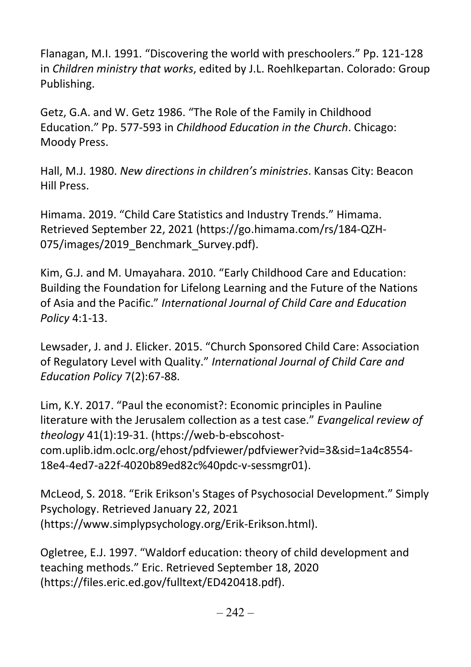Flanagan, M.I. 1991. "Discovering the world with preschoolers." Pp. 121-128 in Children ministry that works, edited by J.L. Roehlkepartan. Colorado: Group Publishing.

Getz, G.A. and W. Getz 1986. "The Role of the Family in Childhood Education." Pp. 577-593 in Childhood Education in the Church. Chicago: Moody Press.

Hall, M.J. 1980. New directions in children's ministries. Kansas City: Beacon Hill Press.

Himama. 2019. "Child Care Statistics and Industry Trends." Himama. Retrieved September 22, 2021 (https://go.himama.com/rs/184-QZH-075/images/2019 Benchmark Survey.pdf).

Kim, G.J. and M. Umayahara. 2010. "Early Childhood Care and Education: Building the Foundation for Lifelong Learning and the Future of the Nations of Asia and the Pacific." International Journal of Child Care and Education Policy 4:1-13.

Lewsader, J. and J. Elicker. 2015. "Church Sponsored Child Care: Association of Regulatory Level with Quality." International Journal of Child Care and Education Policy 7(2):67-88.

Lim, K.Y. 2017. "Paul the economist?: Economic principles in Pauline literature with the Jerusalem collection as a test case." Evangelical review of theology 41(1):19-31. (https://web-b-ebscohostcom.uplib.idm.oclc.org/ehost/pdfviewer/pdfviewer?vid=3&sid=1a4c8554- 18e4-4ed7-a22f-4020b89ed82c%40pdc-v-sessmgr01).

McLeod, S. 2018. "Erik Erikson's Stages of Psychosocial Development." Simply Psychology. Retrieved January 22, 2021 (https://www.simplypsychology.org/Erik-Erikson.html).

Ogletree, E.J. 1997. "Waldorf education: theory of child development and teaching methods." Eric. Retrieved September 18, 2020 (https://files.eric.ed.gov/fulltext/ED420418.pdf).